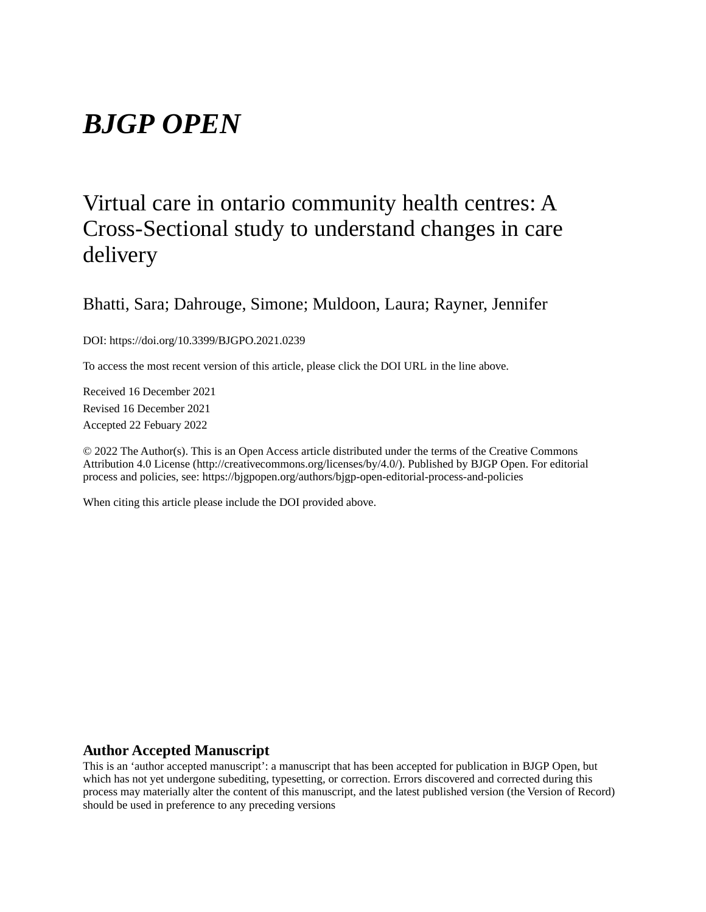# *BJGP OPEN*

## Virtual care in ontario community health centres: A Cross-Sectional study to understand changes in care delivery

## Bhatti, Sara; Dahrouge, Simone; Muldoon, Laura; Rayner, Jennifer

DOI: https://doi.org/10.3399/BJGPO.2021.0239

To access the most recent version of this article, please click the DOI URL in the line above.

Received 16 December 2021 Revised 16 December 2021 Accepted 22 Febuary 2022

© 2022 The Author(s). This is an Open Access article distributed under the terms of the Creative Commons Attribution 4.0 License (http://creativecommons.org/licenses/by/4.0/). Published by BJGP Open. For editorial process and policies, see: https://bjgpopen.org/authors/bjgp-open-editorial-process-and-policies

When citing this article please include the DOI provided above.

## **Author Accepted Manuscript**

This is an 'author accepted manuscript': a manuscript that has been accepted for publication in BJGP Open, but which has not yet undergone subediting, typesetting, or correction. Errors discovered and corrected during this process may materially alter the content of this manuscript, and the latest published version (the Version of Record) should be used in preference to any preceding versions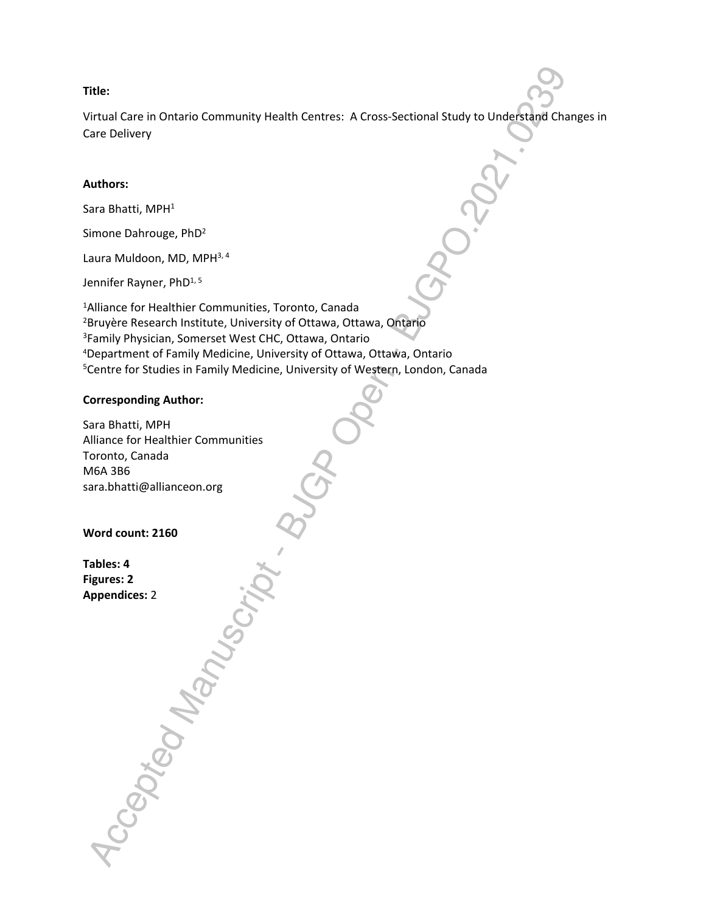#### **Title:**

Virtual Care in Ontario Community Health Centres: A Cross-Sectional Study to Understand Changes in Care Delivery

## **Authors:**

Sara Bhatti, MPH<sup>1</sup>

Simone Dahrouge, PhD<sup>2</sup>

Laura Muldoon, MD, MPH<sup>3, 4</sup>

Jennifer Rayner, PhD<sup>1, 5</sup>

Alliance for Healthier Communities, Toronto, Canada Bruyère Research Institute, University of Ottawa, Ottawa, Ontario Family Physician, Somerset West CHC, Ottawa, Ontario Department of Family Medicine, University of Ottawa, Ottawa, Ontario <sup>5</sup>Centre for Studies in Family Medicine, University of Western, London, Canada

## **Corresponding Author:**

Sara Bhatti, MPH Alliance for Healthier Communities Toronto, Canada M6A 3B6 sara.bhatti@allianceon.org

Accepted Manus

## **Word count: 2160**

**Tables: 4 Figures: 2 Appendices:** 2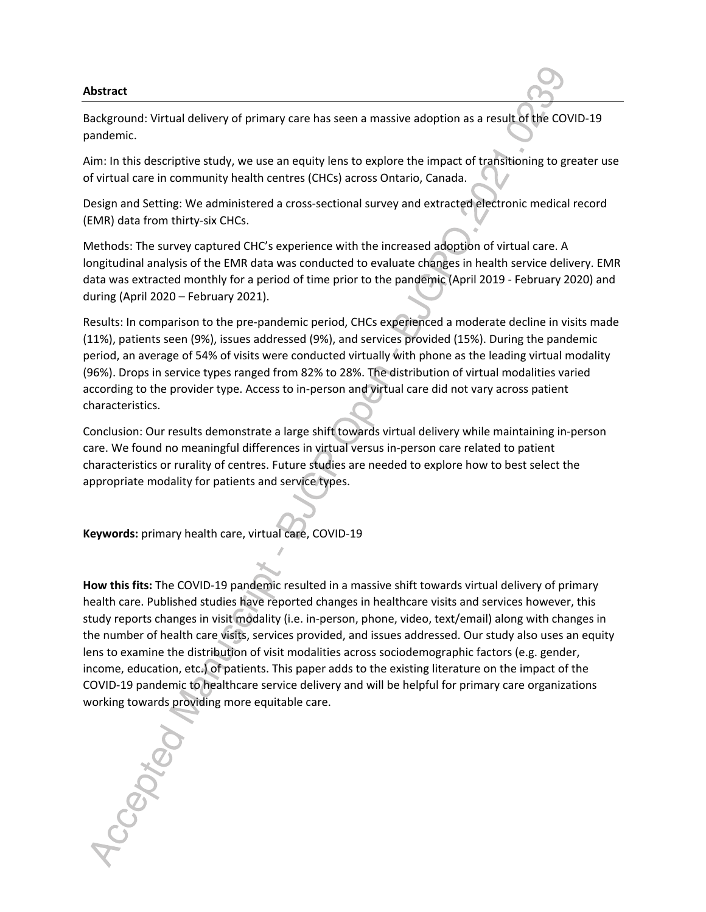#### **Abstract**

Background: Virtual delivery of primary care has seen a massive adoption as a result of the COVID-19 pandemic.

Aim: In this descriptive study, we use an equity lens to explore the impact of transitioning to greater use of virtual care in community health centres (CHCs) across Ontario, Canada.

Design and Setting: We administered a cross-sectional survey and extracted electronic medical record (EMR) data from thirty-six CHCs.

Methods: The survey captured CHC's experience with the increased adoption of virtual care. A longitudinal analysis of the EMR data was conducted to evaluate changes in health service delivery. EMR data was extracted monthly for a period of time prior to the pandemic (April 2019 - February 2020) and during (April 2020 – February 2021).

Results: In comparison to the pre-pandemic period, CHCs experienced a moderate decline in visits made (11%), patients seen (9%), issues addressed (9%), and services provided (15%). During the pandemic period, an average of 54% of visits were conducted virtually with phone as the leading virtual modality (96%). Drops in service types ranged from 82% to 28%. The distribution of virtual modalities varied according to the provider type. Access to in-person and virtual care did not vary across patient characteristics.

Conclusion: Our results demonstrate a large shift towards virtual delivery while maintaining in-person care. We found no meaningful differences in virtual versus in-person care related to patient characteristics or rurality of centres. Future studies are needed to explore how to best select the appropriate modality for patients and service types.

**Keywords:** primary health care, virtual care, COVID-19

**How this fits:** The COVID-19 pandemic resulted in a massive shift towards virtual delivery of primary health care. Published studies have reported changes in healthcare visits and services however, this study reports changes in visit modality (i.e. in-person, phone, video, text/email) along with changes in the number of health care visits, services provided, and issues addressed. Our study also uses an equity lens to examine the distribution of visit modalities across sociodemographic factors (e.g. gender, income, education, etc.) of patients. This paper adds to the existing literature on the impact of the COVID-19 pandemic to healthcare service delivery and will be helpful for primary care organizations working towards providing more equitable care. Accepted N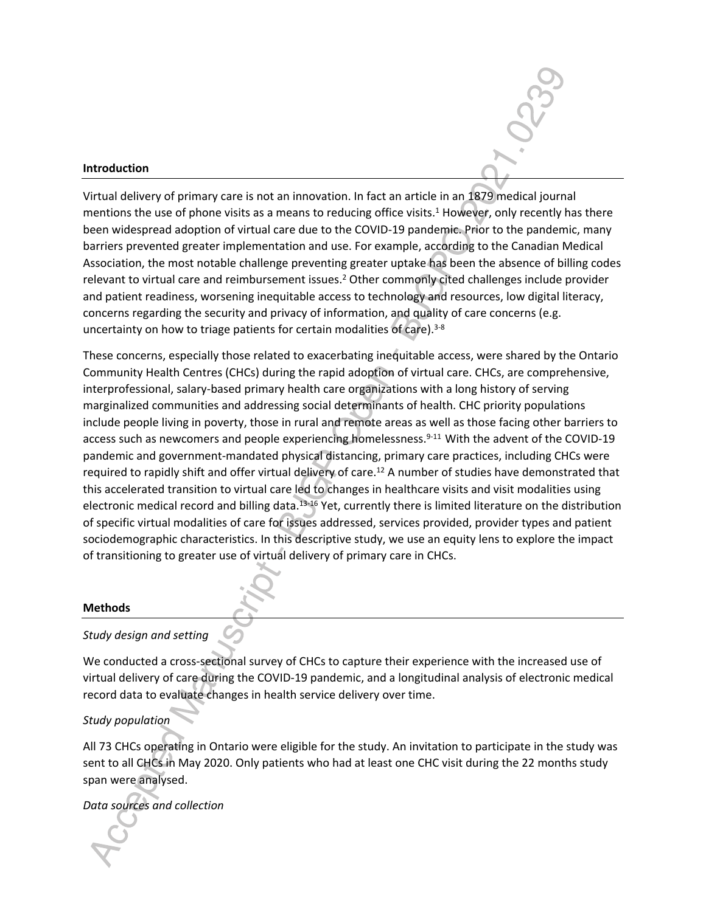#### **Introduction**

Virtual delivery of primary care is not an innovation. In fact an article in an 1879 medical journal mentions the use of phone visits as a means to reducing office visits.<sup>1</sup> However, only recently has there been widespread adoption of virtual care due to the COVID-19 pandemic. Prior to the pandemic, many barriers prevented greater implementation and use. For example, according to the Canadian Medical Association, the most notable challenge preventing greater uptake has been the absence of billing codes relevant to virtual care and reimbursement issues.<sup>2</sup> Other commonly cited challenges include provider and patient readiness, worsening inequitable access to technology and resources, low digital literacy, concerns regarding the security and privacy of information, and quality of care concerns (e.g. uncertainty on how to triage patients for certain modalities of care).<sup>3-8</sup>

These concerns, especially those related to exacerbating inequitable access, were shared by the Ontario Community Health Centres (CHCs) during the rapid adoption of virtual care. CHCs, are comprehensive, interprofessional, salary-based primary health care organizations with a long history of serving marginalized communities and addressing social determinants of health. CHC priority populations include people living in poverty, those in rural and remote areas as well as those facing other barriers to access such as newcomers and people experiencing homelessness.<sup>9-11</sup> With the advent of the COVID-19 pandemic and government-mandated physical distancing, primary care practices, including CHCs were required to rapidly shift and offer virtual delivery of care.<sup>12</sup> A number of studies have demonstrated that this accelerated transition to virtual care led to changes in healthcare visits and visit modalities using electronic medical record and billing data.13-16 Yet, currently there is limited literature on the distribution of specific virtual modalities of care for issues addressed, services provided, provider types and patient sociodemographic characteristics. In this descriptive study, we use an equity lens to explore the impact of transitioning to greater use of virtual delivery of primary care in CHCs.

#### **Methods**

#### *Study design and setting*

We conducted a cross-sectional survey of CHCs to capture their experience with the increased use of virtual delivery of care during the COVID-19 pandemic, and a longitudinal analysis of electronic medical record data to evaluate changes in health service delivery over time.

#### *Study population*

All 73 CHCs operating in Ontario were eligible for the study. An invitation to participate in the study was sent to all CHCs in May 2020. Only patients who had at least one CHC visit during the 22 months study span were analysed.

*Data sources and collection*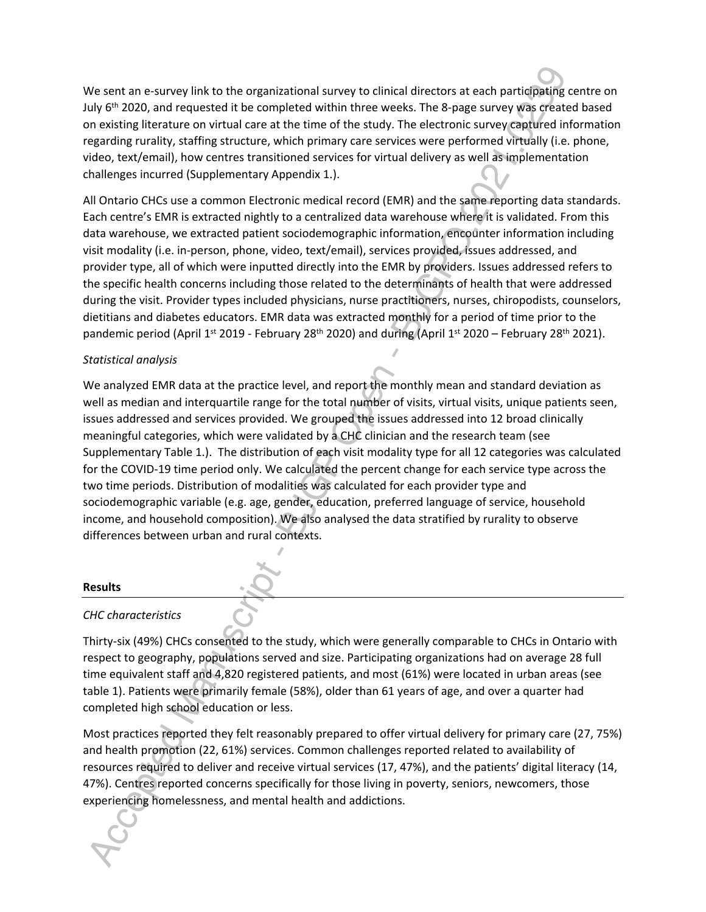We sent an e-survey link to the organizational survey to clinical directors at each participating centre on July  $6<sup>th</sup>$  2020, and requested it be completed within three weeks. The 8-page survey was created based on existing literature on virtual care at the time of the study. The electronic survey captured information regarding rurality, staffing structure, which primary care services were performed virtually (i.e. phone, video, text/email), how centres transitioned services for virtual delivery as well as implementation challenges incurred (Supplementary Appendix 1.).

All Ontario CHCs use a common Electronic medical record (EMR) and the same reporting data standards. Each centre's EMR is extracted nightly to a centralized data warehouse where it is validated. From this data warehouse, we extracted patient sociodemographic information, encounter information including visit modality (i.e. in-person, phone, video, text/email), services provided, issues addressed, and provider type, all of which were inputted directly into the EMR by providers. Issues addressed refers to the specific health concerns including those related to the determinants of health that were addressed during the visit. Provider types included physicians, nurse practitioners, nurses, chiropodists, counselors, dietitians and diabetes educators. EMR data was extracted monthly for a period of time prior to the pandemic period (April 1<sup>st</sup> 2019 - February 28<sup>th</sup> 2020) and during (April 1st 2020 – February 28<sup>th</sup> 2021).

## *Statistical analysis*

We analyzed EMR data at the practice level, and report the monthly mean and standard deviation as well as median and interquartile range for the total number of visits, virtual visits, unique patients seen, issues addressed and services provided. We grouped the issues addressed into 12 broad clinically meaningful categories, which were validated by a CHC clinician and the research team (see Supplementary Table 1.). The distribution of each visit modality type for all 12 categories was calculated for the COVID-19 time period only. We calculated the percent change for each service type across the two time periods. Distribution of modalities was calculated for each provider type and sociodemographic variable (e.g. age, gender, education, preferred language of service, household income, and household composition). We also analysed the data stratified by rurality to observe differences between urban and rural contexts.

## **Results**

## *CHC characteristics*

Thirty-six (49%) CHCs consented to the study, which were generally comparable to CHCs in Ontario with respect to geography, populations served and size. Participating organizations had on average 28 full time equivalent staff and 4,820 registered patients, and most (61%) were located in urban areas (see table 1). Patients were primarily female (58%), older than 61 years of age, and over a quarter had completed high school education or less.

Most practices reported they felt reasonably prepared to offer virtual delivery for primary care (27, 75%) and health promotion (22, 61%) services. Common challenges reported related to availability of resources required to deliver and receive virtual services (17, 47%), and the patients' digital literacy (14, 47%). Centres reported concerns specifically for those living in poverty, seniors, newcomers, those experiencing homelessness, and mental health and addictions.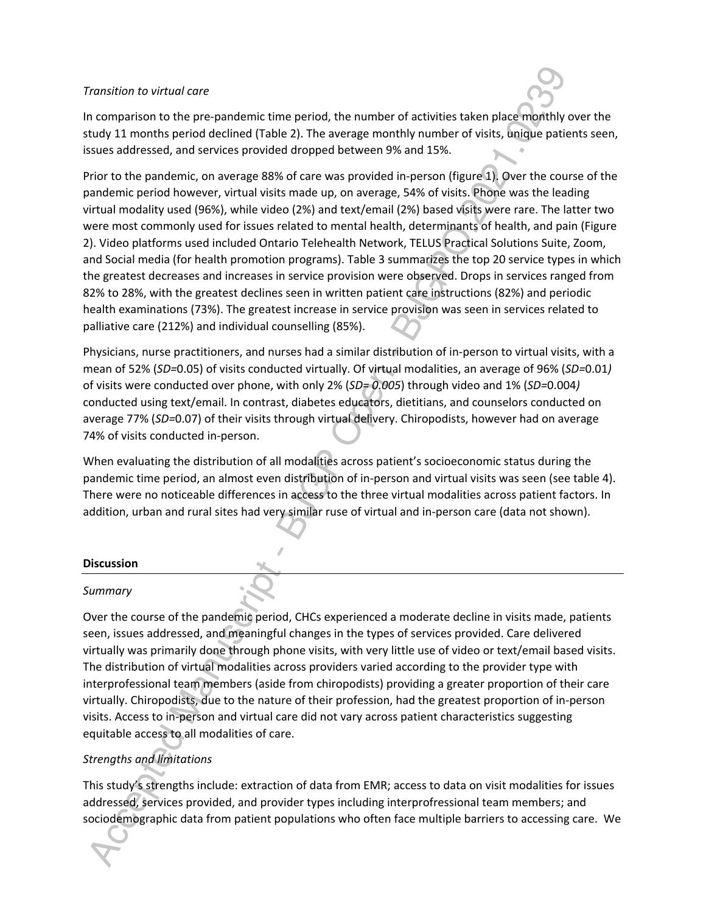#### *Transition to virtual care*

In comparison to the pre-pandemic time period, the number of activities taken place monthly over the study 11 months period declined (Table 2). The average monthly number of visits, unique patients seen, issues addressed, and services provided dropped between 9% and 15%.

Prior to the pandemic, on average 88% of care was provided in-person (figure 1). Over the course of the pandemic period however, virtual visits made up, on average, 54% of visits. Phone was the leading virtual modality used (96%), while video (2%) and text/email (2%) based visits were rare. The latter two were most commonly used for issues related to mental health, determinants of health, and pain (Figure 2). Video platforms used included Ontario Telehealth Network, TELUS Practical Solutions Suite, Zoom, and Social media (for health promotion programs). Table 3 summarizes the top 20 service types in which the greatest decreases and increases in service provision were observed. Drops in services ranged from 82% to 28%, with the greatest declines seen in written patient care instructions (82%) and periodic health examinations (73%). The greatest increase in service provision was seen in services related to palliative care (212%) and individual counselling (85%).

Physicians, nurse practitioners, and nurses had a similar distribution of in-person to virtual visits, with a mean of 52% (*SD=*0.05) of visits conducted virtually. Of virtual modalities, an average of 96% (*SD=*0.01*)* of visits were conducted over phone, with only 2% (*SD= 0.005*) through video and 1% (*SD=*0.004*)* conducted using text/email. In contrast, diabetes educators, dietitians, and counselors conducted on average 77% (*SD=*0.07) of their visits through virtual delivery. Chiropodists, however had on average 74% of visits conducted in-person.

When evaluating the distribution of all modalities across patient's socioeconomic status during the pandemic time period, an almost even distribution of in-person and virtual visits was seen (see table 4). There were no noticeable differences in access to the three virtual modalities across patient factors. In addition, urban and rural sites had very similar ruse of virtual and in-person care (data not shown).

#### **Discussion**

## *Summary*

Over the course of the pandemic period, CHCs experienced a moderate decline in visits made, patients seen, issues addressed, and meaningful changes in the types of services provided. Care delivered virtually was primarily done through phone visits, with very little use of video or text/email based visits. The distribution of virtual modalities across providers varied according to the provider type with interprofessional team members (aside from chiropodists) providing a greater proportion of their care virtually. Chiropodists, due to the nature of their profession, had the greatest proportion of in-person visits. Access to in-person and virtual care did not vary across patient characteristics suggesting equitable access to all modalities of care.

## *Strengths and limitations*

This study's strengths include: extraction of data from EMR; access to data on visit modalities for issues addressed, services provided, and provider types including interprofressional team members; and sociodemographic data from patient populations who often face multiple barriers to accessing care. We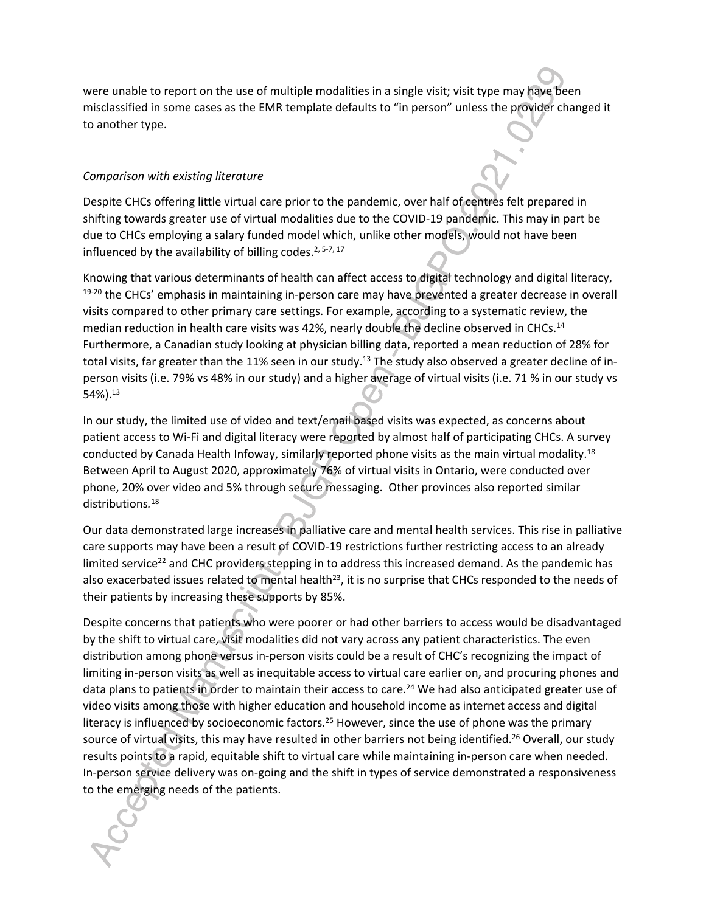were unable to report on the use of multiple modalities in a single visit; visit type may have been misclassified in some cases as the EMR template defaults to "in person" unless the provider changed it to another type.

## *Comparison with existing literature*

Despite CHCs offering little virtual care prior to the pandemic, over half of centres felt prepared in shifting towards greater use of virtual modalities due to the COVID-19 pandemic. This may in part be due to CHCs employing a salary funded model which, unlike other models, would not have been influenced by the availability of billing codes.<sup>2, 5-7, 17</sup>

Knowing that various determinants of health can affect access to digital technology and digital literacy, 19-20 the CHCs' emphasis in maintaining in-person care may have prevented a greater decrease in overall visits compared to other primary care settings. For example, according to a systematic review, the median reduction in health care visits was 42%, nearly double the decline observed in CHCs.<sup>14</sup> Furthermore, a Canadian study looking at physician billing data, reported a mean reduction of 28% for total visits, far greater than the 11% seen in our study.<sup>13</sup> The study also observed a greater decline of inperson visits (i.e. 79% vs 48% in our study) and a higher average of virtual visits (i.e. 71 % in our study vs 54%).<sup>13</sup>

In our study, the limited use of video and text/email based visits was expected, as concerns about patient access to Wi-Fi and digital literacy were reported by almost half of participating CHCs. A survey conducted by Canada Health Infoway, similarly reported phone visits as the main virtual modality.<sup>18</sup> Between April to August 2020, approximately 76% of virtual visits in Ontario, were conducted over phone, 20% over video and 5% through secure messaging. Other provinces also reported similar distributions*.* 18

Our data demonstrated large increases in palliative care and mental health services. This rise in palliative care supports may have been a result of COVID-19 restrictions further restricting access to an already limited service<sup>22</sup> and CHC providers stepping in to address this increased demand. As the pandemic has also exacerbated issues related to mental health<sup>23</sup>, it is no surprise that CHCs responded to the needs of their patients by increasing these supports by 85%.

Despite concerns that patients who were poorer or had other barriers to access would be disadvantaged by the shift to virtual care, visit modalities did not vary across any patient characteristics. The even distribution among phone versus in-person visits could be a result of CHC's recognizing the impact of limiting in-person visits as well as inequitable access to virtual care earlier on, and procuring phones and data plans to patients in order to maintain their access to care.<sup>24</sup> We had also anticipated greater use of video visits among those with higher education and household income as internet access and digital literacy is influenced by socioeconomic factors.<sup>25</sup> However, since the use of phone was the primary source of virtual visits, this may have resulted in other barriers not being identified.<sup>26</sup> Overall, our study results points to a rapid, equitable shift to virtual care while maintaining in-person care when needed. In-person service delivery was on-going and the shift in types of service demonstrated a responsiveness to the emerging needs of the patients.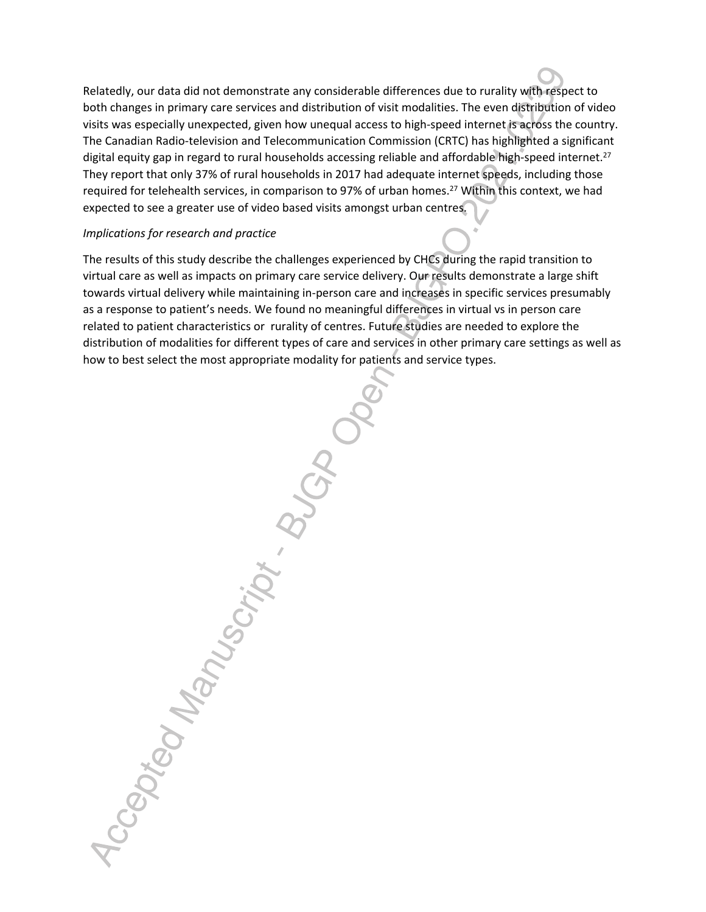Relatedly, our data did not demonstrate any considerable differences due to rurality with respect to both changes in primary care services and distribution of visit modalities. The even distribution of video visits was especially unexpected, given how unequal access to high-speed internet is across the country. The Canadian Radio-television and Telecommunication Commission (CRTC) has highlighted a significant digital equity gap in regard to rural households accessing reliable and affordable high-speed internet.<sup>27</sup> They report that only 37% of rural households in 2017 had adequate internet speeds, including those required for telehealth services, in comparison to 97% of urban homes.<sup>27</sup> Within this context, we had expected to see a greater use of video based visits amongst urban centres.

#### *Implications for research and practice*

The results of this study describe the challenges experienced by CHCs during the rapid transition to virtual care as well as impacts on primary care service delivery. Our results demonstrate a large shift towards virtual delivery while maintaining in-person care and increases in specific services presumably as a response to patient's needs. We found no meaningful differences in virtual vs in person care related to patient characteristics or rurality of centres. Future studies are needed to explore the distribution of modalities for different types of care and services in other primary care settings as well as how to best select the most appropriate modality for patients and service types.

Accepted Manuscript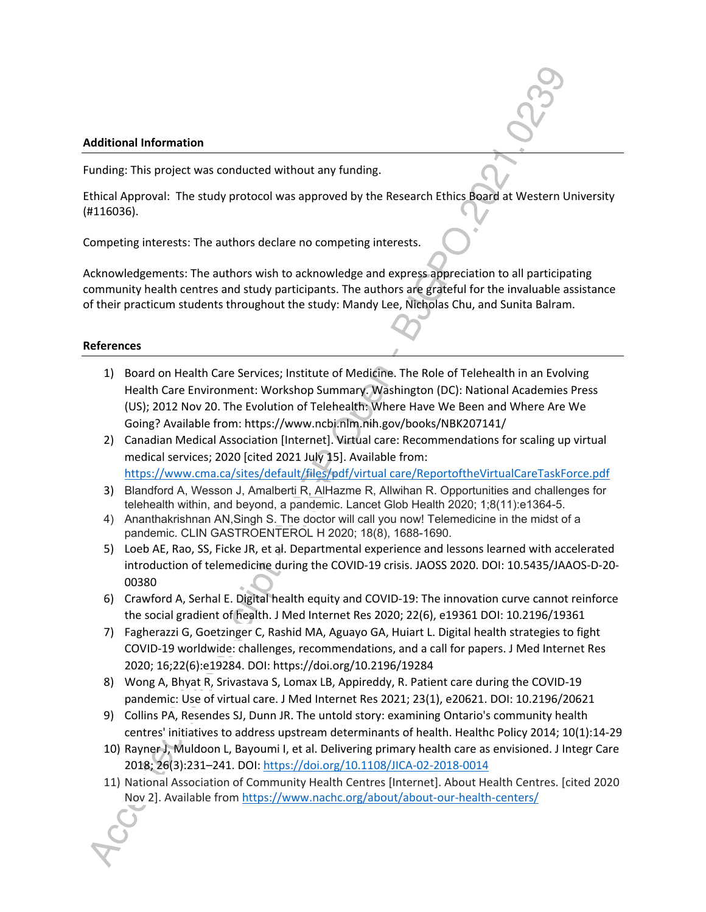#### **Additional Information**

Funding: This project was conducted without any funding.

Ethical Approval: The study protocol was approved by the Research Ethics Board at Western University (#116036).

Competing interests: The authors declare no competing interests.

Acknowledgements: The authors wish to acknowledge and express appreciation to all participating community health centres and study participants. The authors are grateful for the invaluable assistance of their practicum students throughout the study: Mandy Lee, Nicholas Chu, and Sunita Balram.

## **References**

- 1) Board on Health Care Services; Institute of Medicine. The Role of Telehealth in an Evolving Health Care Environment: Workshop Summary. Washington (DC): National Academies Press (US); 2012 Nov 20. The Evolution of Telehealth: Where Have We Been and Where Are We Going? Available from: https://www.ncbi.nlm.nih.gov/books/NBK207141/
- 2) Canadian Medical Association [Internet]. Virtual care: Recommendations for scaling up virtual medical services; 2020 [cited 2021 July 15]. Available from: https://www.cma.ca/sites/default/files/pdf/virtual care/ReportoftheVirtualCareTaskForce.pdf
- 3) Blandford A, Wesson J, Amalberti R, AlHazme R, Allwihan R. Opportunities and challenges for telehealth within, and beyond, a pandemic. Lancet Glob Health 2020; 1;8(11):e1364-5.
- 4) Ananthakrishnan AN,Singh S. The doctor will call you now! Telemedicine in the midst of a pandemic. CLIN GASTROENTEROL H 2020; 18(8), 1688-1690.
- 5) Loeb AE, Rao, SS, Ficke JR, et al. Departmental experience and lessons learned with accelerated introduction of telemedicine during the COVID-19 crisis. JAOSS 2020. DOI: 10.5435/JAAOS-D-20- 00380
- 6) Crawford A, Serhal E. Digital health equity and COVID-19: The innovation curve cannot reinforce the social gradient of health. J Med Internet Res 2020; 22(6), e19361 DOI: 10.2196/19361
- 7) Fagherazzi G, Goetzinger C, Rashid MA, Aguayo GA, Huiart L. Digital health strategies to fight COVID-19 worldwide: challenges, recommendations, and a call for papers. J Med Internet Res 2020; 16;22(6):e19284. DOI: https://doi.org/10.2196/19284
- 8) Wong A, Bhyat R, Srivastava S, Lomax LB, Appireddy, R. Patient care during the COVID-19 pandemic: Use of virtual care. J Med Internet Res 2021; 23(1), e20621. DOI: 10.2196/20621
- 9) Collins PA, Resendes SJ, Dunn JR. The untold story: examining Ontario's community health centres' initiatives to address upstream determinants of health. Healthc Policy 2014; 10(1):14-29
- 10) Rayner J, Muldoon L, Bayoumi I, et al. Delivering primary health care as envisioned. J Integr Care 2018; 26(3):231–241. DOI: https://doi.org/10.1108/JICA-02-2018-0014
- 11) National Association of Community Health Centres [Internet]. About Health Centres. [cited 2020 Nov 2]. Available from https://www.nachc.org/about/about-our-health-centers/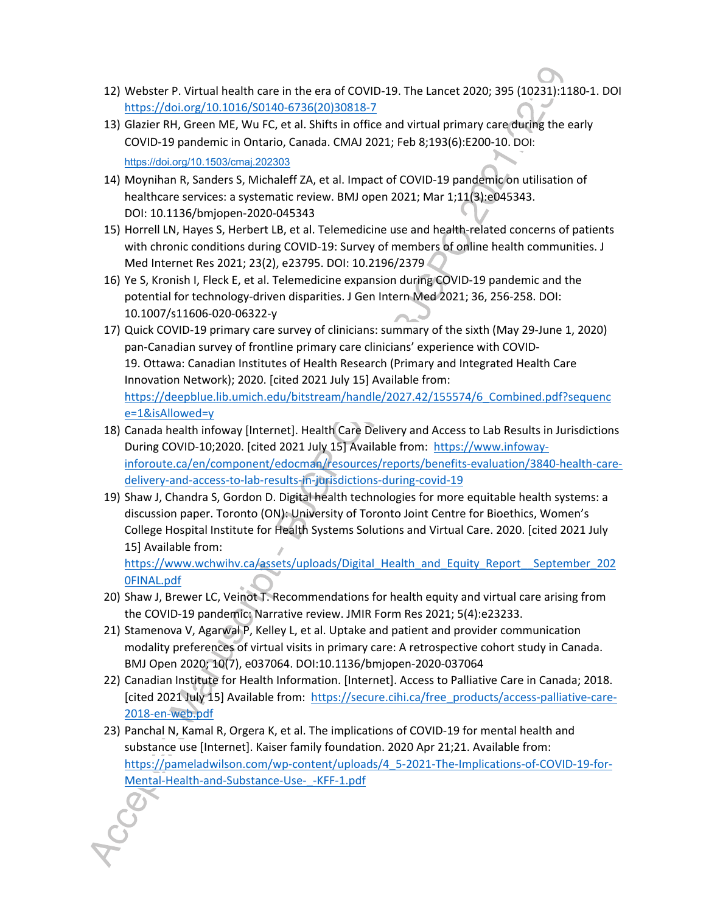- 12) Webster P. Virtual health care in the era of COVID-19. The Lancet 2020; 395 (10231):1180-1. DOI https://doi.org/10.1016/S0140-6736(20)30818-7
- 13) Glazier RH, Green ME, Wu FC, et al. Shifts in office and virtual primary care during the early COVID-19 pandemic in Ontario, Canada. CMAJ 2021; Feb 8;193(6):E200-10. DOI: https://doi.org/10.1503/cmaj.202303
- 14) Moynihan R, Sanders S, Michaleff ZA, et al. Impact of COVID-19 pandemic on utilisation of healthcare services: a systematic review. BMJ open 2021; Mar 1;11(3):e045343. DOI: 10.1136/bmjopen-2020-045343
- 15) Horrell LN, Hayes S, Herbert LB, et al. Telemedicine use and health-related concerns of patients with chronic conditions during COVID-19: Survey of members of online health communities. J Med Internet Res 2021; 23(2), e23795. DOI: 10.2196/2379
- 16) Ye S, Kronish I, Fleck E, et al. Telemedicine expansion during COVID-19 pandemic and the potential for technology-driven disparities. J Gen Intern Med 2021; 36, 256-258. DOI: 10.1007/s11606-020-06322-y
- 17) Quick COVID-19 primary care survey of clinicians: summary of the sixth (May 29-June 1, 2020) pan-Canadian survey of frontline primary care clinicians' experience with COVID-19. Ottawa: Canadian Institutes of Health Research (Primary and Integrated Health Care Innovation Network); 2020. [cited 2021 July 15] Available from: https://deepblue.lib.umich.edu/bitstream/handle/2027.42/155574/6\_Combined.pdf?sequenc e=1&isAllowed=y
- 18) Canada health infoway [Internet]. Health Care Delivery and Access to Lab Results in Jurisdictions During COVID-10;2020. [cited 2021 July 15] Available from: https://www.infowayinforoute.ca/en/component/edocman/resources/reports/benefits-evaluation/3840-health-caredelivery-and-access-to-lab-results-in-jurisdictions-during-covid-19
- 19) Shaw J, Chandra S, Gordon D. Digital health technologies for more equitable health systems: a discussion paper. Toronto (ON): University of Toronto Joint Centre for Bioethics, Women's College Hospital Institute for Health Systems Solutions and Virtual Care. 2020. [cited 2021 July 15] Available from: https://www.wchwihv.ca/assets/uploads/Digital Health and Equity Report September 202

0FINAL.pdf

- 20) Shaw J, Brewer LC, Veinot T. Recommendations for health equity and virtual care arising from the COVID-19 pandemic: Narrative review. JMIR Form Res 2021; 5(4):e23233.
- 21) Stamenova V, Agarwal P, Kelley L, et al. Uptake and patient and provider communication modality preferences of virtual visits in primary care: A retrospective cohort study in Canada. BMJ Open 2020; 10(7), e037064. DOI:10.1136/bmjopen-2020-037064
- 22) Canadian Institute for Health Information. [Internet]. Access to Palliative Care in Canada; 2018. [cited 2021 July 15] Available from: https://secure.cihi.ca/free\_products/access-palliative-care-2018-en-web.pdf
- 23) Panchal N, Kamal R, Orgera K, et al. The implications of COVID-19 for mental health and substance use [Internet]. Kaiser family foundation. 2020 Apr 21;21. Available from: https://pameladwilson.com/wp-content/uploads/4\_5-2021-The-Implications-of-COVID-19-for-Mental-Health-and-Substance-Use-\_-KFF-1.pdf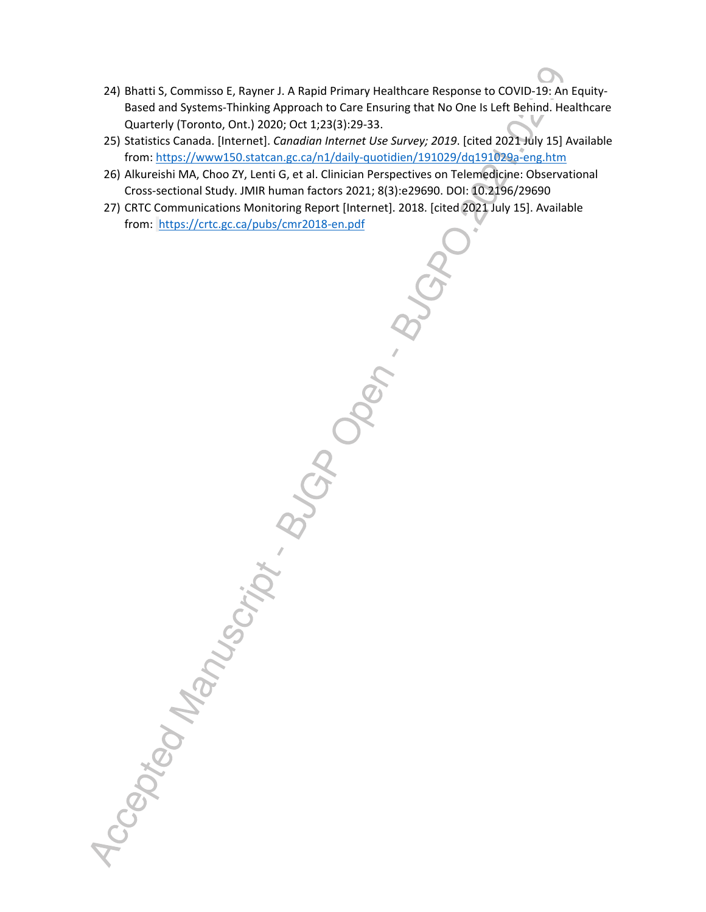- 24) Bhatti S, Commisso E, Rayner J. A Rapid Primary Healthcare Response to COVID-19: An Equity-Based and Systems-Thinking Approach to Care Ensuring that No One Is Left Behind. Healthcare Quarterly (Toronto, Ont.) 2020; Oct 1;23(3):29-33.
- 25) Statistics Canada. [Internet]. *Canadian Internet Use Survey; 2019*. [cited 2021 July 15] Available from: https://www150.statcan.gc.ca/n1/daily-quotidien/191029/dq191029a-eng.htm
- 26) Alkureishi MA, Choo ZY, Lenti G, et al. Clinician Perspectives on Telemedicine: Observational Cross-sectional Study. JMIR human factors 2021; 8(3):e29690. DOI: 10.2196/29690
- 27) CRTC Communications Monitoring Report [Internet]. 2018. [cited 2021 July 15]. Available from: https://crtc.gc.ca/pubs/cmr2018-en.pdf

BUGA OPEN BUGH Accepted Manuscript . Butch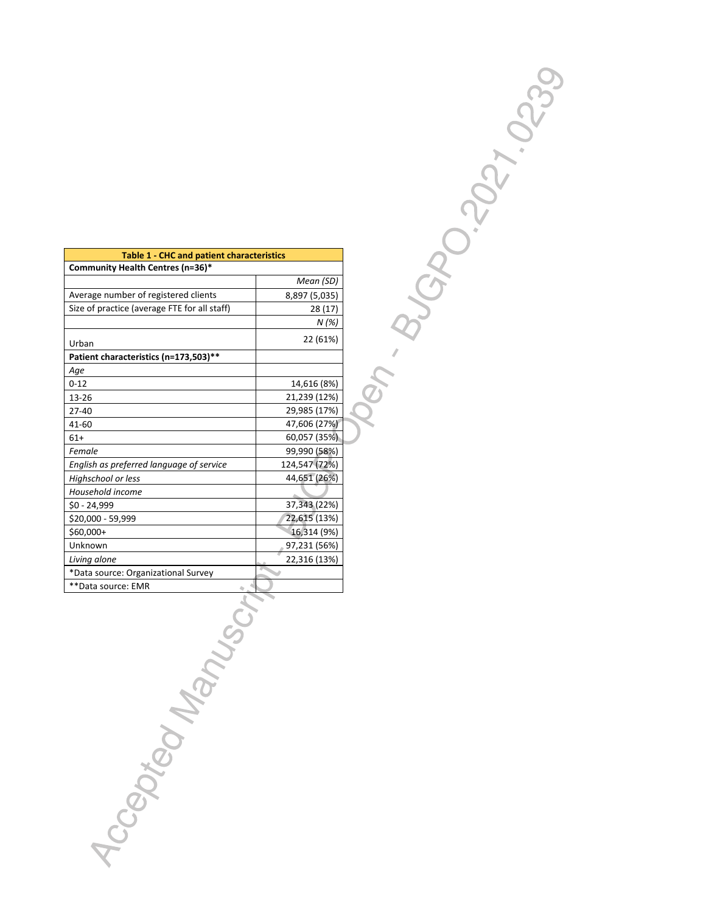| <b>Table 1 - CHC and patient characteristics</b> |               |  |  |  |
|--------------------------------------------------|---------------|--|--|--|
| Community Health Centres (n=36)*                 |               |  |  |  |
|                                                  | Mean (SD)     |  |  |  |
| Average number of registered clients             | 8,897 (5,035) |  |  |  |
| Size of practice (average FTE for all staff)     | 28 (17)       |  |  |  |
|                                                  | N (%)         |  |  |  |
| Urban                                            | 22 (61%)      |  |  |  |
| Patient characteristics (n=173,503)**            |               |  |  |  |
| Age                                              |               |  |  |  |
| $0 - 12$                                         | 14,616 (8%)   |  |  |  |
| 13-26                                            | 21,239 (12%)  |  |  |  |
| 27-40                                            | 29,985 (17%)  |  |  |  |
| $41 - 60$                                        | 47,606 (27%)  |  |  |  |
| $61+$                                            | 60,057 (35%)  |  |  |  |
| Female                                           | 99,990 (58%)  |  |  |  |
| English as preferred language of service         | 124,547 (72%) |  |  |  |
| Highschool or less                               | 44,651 (26%)  |  |  |  |
| Household income                                 |               |  |  |  |
| \$0 - 24,999                                     | 37,343 (22%)  |  |  |  |
| \$20,000 - 59,999                                | 22,615 (13%)  |  |  |  |
| \$60,000+                                        | 16,314 (9%)   |  |  |  |
| Unknown                                          | 97,231 (56%)  |  |  |  |
| Living alone                                     | 22,316 (13%)  |  |  |  |
| *Data source: Organizational Survey              |               |  |  |  |
| **Data source: EMR                               |               |  |  |  |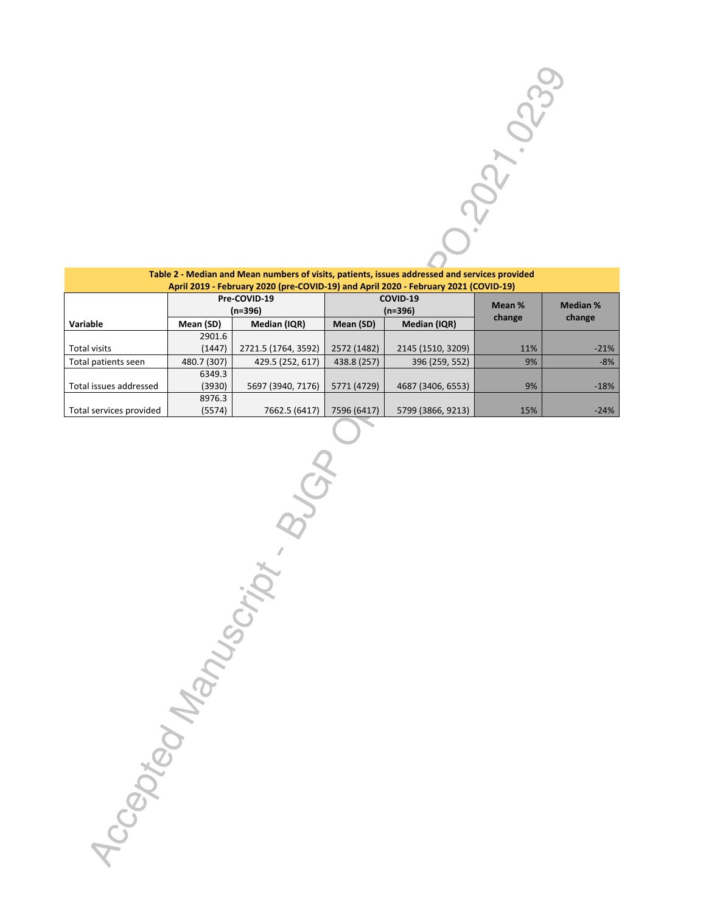| Table 2 - Median and Mean numbers of visits, patients, issues addressed and services provided |              |                     |             |                   |        |        |  |  |        |                 |
|-----------------------------------------------------------------------------------------------|--------------|---------------------|-------------|-------------------|--------|--------|--|--|--------|-----------------|
| April 2019 - February 2020 (pre-COVID-19) and April 2020 - February 2021 (COVID-19)           |              |                     |             |                   |        |        |  |  |        |                 |
|                                                                                               | Pre-COVID-19 |                     | COVID-19    |                   |        |        |  |  | Mean % | <b>Median %</b> |
|                                                                                               |              | $(n=396)$           | $(n=396)$   |                   | change | change |  |  |        |                 |
| Variable                                                                                      | Mean (SD)    | Median (IQR)        | Mean (SD)   | Median (IQR)      |        |        |  |  |        |                 |
|                                                                                               | 2901.6       |                     |             |                   |        |        |  |  |        |                 |
| <b>Total visits</b>                                                                           | (1447)       | 2721.5 (1764, 3592) | 2572 (1482) | 2145 (1510, 3209) | 11%    | $-21%$ |  |  |        |                 |
| Total patients seen                                                                           | 480.7 (307)  | 429.5 (252, 617)    | 438.8 (257) | 396 (259, 552)    | 9%     | $-8%$  |  |  |        |                 |
|                                                                                               | 6349.3       |                     |             |                   |        |        |  |  |        |                 |
| Total issues addressed                                                                        | (3930)       | 5697 (3940, 7176)   | 5771 (4729) | 4687 (3406, 6553) | 9%     | $-18%$ |  |  |        |                 |
|                                                                                               | 8976.3       |                     |             |                   |        |        |  |  |        |                 |
| Total services provided                                                                       | (5574)       | 7662.5 (6417)       | 7596 (6417) | 5799 (3866, 9213) | 15%    | $-24%$ |  |  |        |                 |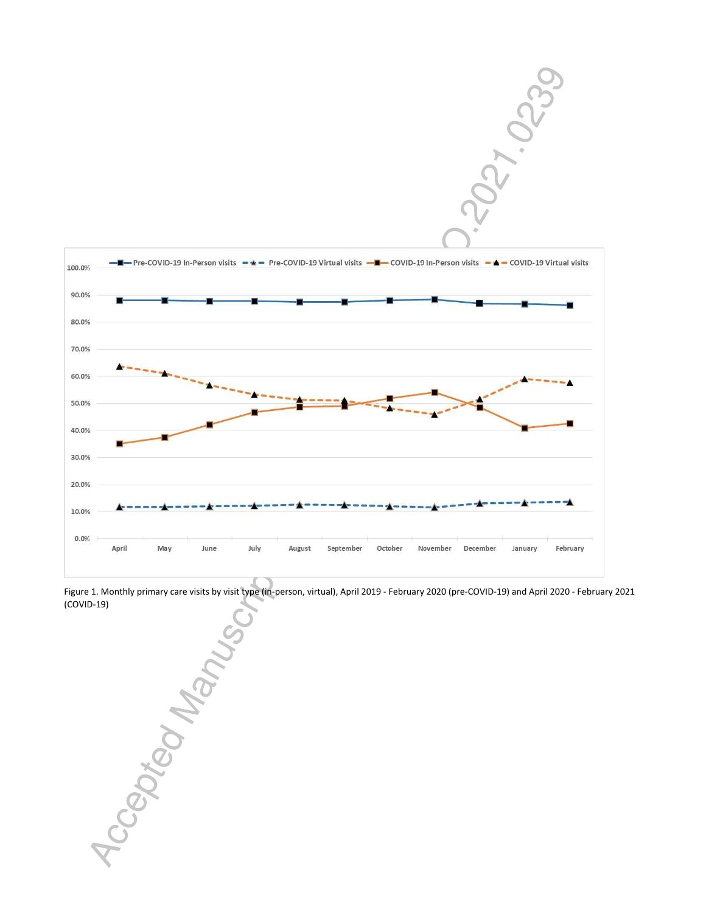

Figure 1. Monthly primary care visits by visit type (in-person, virtual), April 2019 - February 2020 (pre-COVID-19) and April 2020 - February 2021

1CCBOXX BONNEW SOL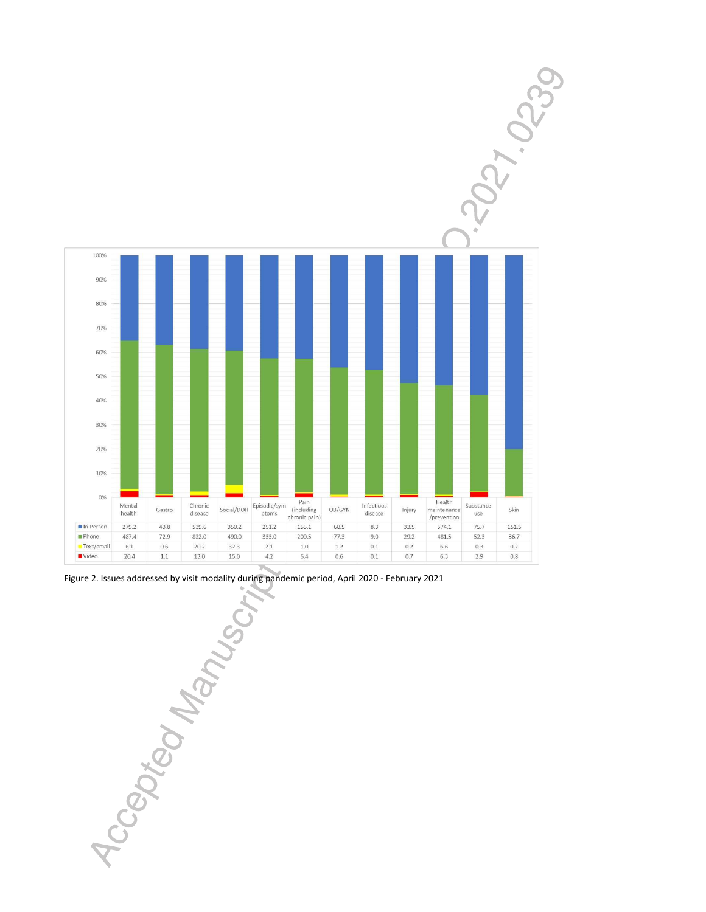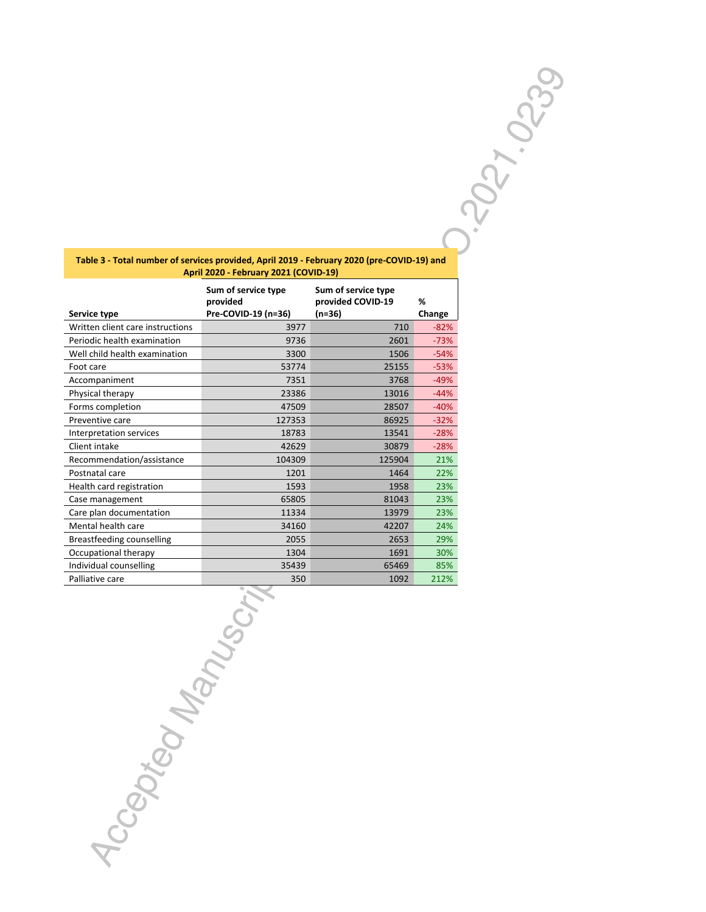| Table 3 - Total number of services provided, April 2019 - February 2020 (pre-COVID-19) and |
|--------------------------------------------------------------------------------------------|
| <b>April 2020 - February 2021 (COVID-19)</b>                                               |

| PHILLOLD TODINGTY LOLE (COVID 19) |                                                        |                                                    |             |  |  |  |
|-----------------------------------|--------------------------------------------------------|----------------------------------------------------|-------------|--|--|--|
| Service type                      | Sum of service type<br>provided<br>Pre-COVID-19 (n=36) | Sum of service type<br>provided COVID-19<br>(n=36) | %<br>Change |  |  |  |
| Written client care instructions  | 3977                                                   | 710                                                | $-82%$      |  |  |  |
|                                   |                                                        |                                                    |             |  |  |  |
| Periodic health examination       | 9736                                                   | 2601                                               | $-73%$      |  |  |  |
| Well child health examination     | 3300                                                   | 1506                                               | $-54%$      |  |  |  |
| Foot care                         | 53774                                                  | 25155                                              | $-53%$      |  |  |  |
| Accompaniment                     | 7351                                                   | 3768                                               | $-49%$      |  |  |  |
| Physical therapy                  | 23386                                                  | 13016                                              | $-44%$      |  |  |  |
| Forms completion                  | 47509                                                  | 28507                                              | $-40%$      |  |  |  |
| Preventive care                   | 127353                                                 | 86925                                              | $-32%$      |  |  |  |
| Interpretation services           | 18783                                                  | 13541                                              | $-28%$      |  |  |  |
| Client intake                     | 42629                                                  | 30879                                              | $-28%$      |  |  |  |
| Recommendation/assistance         | 104309                                                 | 125904                                             | 21%         |  |  |  |
| Postnatal care                    | 1201                                                   | 1464                                               | 22%         |  |  |  |
| Health card registration          | 1593                                                   | 1958                                               | 23%         |  |  |  |
| Case management                   | 65805                                                  | 81043                                              | 23%         |  |  |  |
| Care plan documentation           | 11334                                                  | 13979                                              | 23%         |  |  |  |
| Mental health care                | 34160                                                  | 42207                                              | 24%         |  |  |  |
| Breastfeeding counselling         | 2055                                                   | 2653                                               | 29%         |  |  |  |
| Occupational therapy              | 1304                                                   | 1691                                               | 30%         |  |  |  |
| Individual counselling            | 35439                                                  | 65469                                              | 85%         |  |  |  |
| Palliative care                   | 350                                                    | 1092                                               | 212%        |  |  |  |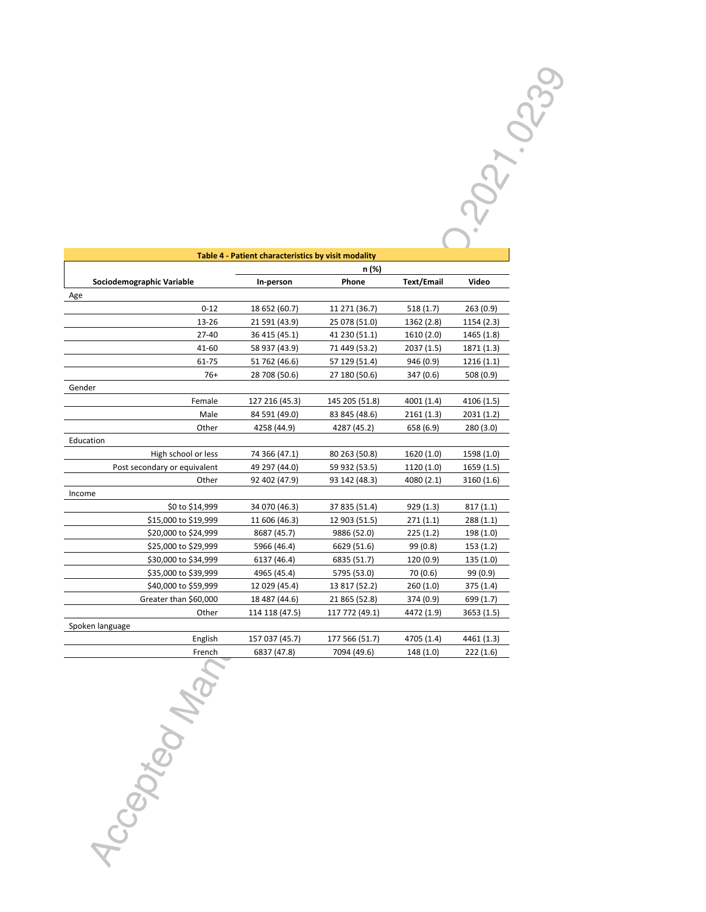| Table 4 - Patient characteristics by visit modality |                |                |            |            |  |  |
|-----------------------------------------------------|----------------|----------------|------------|------------|--|--|
|                                                     | n (%)          |                |            |            |  |  |
| Sociodemographic Variable                           | In-person      | Phone          | Text/Email | Video      |  |  |
| Age                                                 |                |                |            |            |  |  |
| $0 - 12$                                            | 18 652 (60.7)  | 11 271 (36.7)  | 518(1.7)   | 263(0.9)   |  |  |
| 13-26                                               | 21 591 (43.9)  | 25 078 (51.0)  | 1362 (2.8) | 1154 (2.3) |  |  |
| $27 - 40$                                           | 36 415 (45.1)  | 41 230 (51.1)  | 1610 (2.0) | 1465 (1.8) |  |  |
| 41-60                                               | 58 937 (43.9)  | 71 449 (53.2)  | 2037 (1.5) | 1871 (1.3) |  |  |
| 61-75                                               | 51 762 (46.6)  | 57 129 (51.4)  | 946 (0.9)  | 1216(1.1)  |  |  |
| $76+$                                               | 28 708 (50.6)  | 27 180 (50.6)  | 347 (0.6)  | 508 (0.9)  |  |  |
| Gender                                              |                |                |            |            |  |  |
| Female                                              | 127 216 (45.3) | 145 205 (51.8) | 4001 (1.4) | 4106 (1.5) |  |  |
| Male                                                | 84 591 (49.0)  | 83 845 (48.6)  | 2161(1.3)  | 2031(1.2)  |  |  |
| Other                                               | 4258 (44.9)    | 4287 (45.2)    | 658 (6.9)  | 280(3.0)   |  |  |
| Education                                           |                |                |            |            |  |  |
| High school or less                                 | 74 366 (47.1)  | 80 263 (50.8)  | 1620 (1.0) | 1598 (1.0) |  |  |
| Post secondary or equivalent                        | 49 297 (44.0)  | 59 932 (53.5)  | 1120 (1.0) | 1659 (1.5) |  |  |
| Other                                               | 92 402 (47.9)  | 93 142 (48.3)  | 4080 (2.1) | 3160 (1.6) |  |  |
| Income                                              |                |                |            |            |  |  |
| \$0 to \$14,999                                     | 34 070 (46.3)  | 37 835 (51.4)  | 929 (1.3)  | 817(1.1)   |  |  |
| \$15,000 to \$19,999                                | 11 606 (46.3)  | 12 903 (51.5)  | 271(1.1)   | 288(1.1)   |  |  |
| \$20,000 to \$24,999                                | 8687 (45.7)    | 9886 (52.0)    | 225(1.2)   | 198 (1.0)  |  |  |
| \$25,000 to \$29,999                                | 5966 (46.4)    | 6629 (51.6)    | 99 (0.8)   | 153(1.2)   |  |  |
| \$30,000 to \$34,999                                | 6137 (46.4)    | 6835 (51.7)    | 120 (0.9)  | 135 (1.0)  |  |  |
| \$35,000 to \$39,999                                | 4965 (45.4)    | 5795 (53.0)    | 70(0.6)    | 99 (0.9)   |  |  |
| \$40,000 to \$59,999                                | 12 029 (45.4)  | 13 817 (52.2)  | 260(1.0)   | 375 (1.4)  |  |  |
| Greater than \$60,000                               | 18 487 (44.6)  | 21 865 (52.8)  | 374 (0.9)  | 699 (1.7)  |  |  |
| Other                                               | 114 118 (47.5) | 117 772 (49.1) | 4472 (1.9) | 3653 (1.5) |  |  |
| Spoken language                                     |                |                |            |            |  |  |
| English                                             | 157 037 (45.7) | 177 566 (51.7) | 4705 (1.4) | 4461 (1.3) |  |  |
| French                                              | 6837 (47.8)    | 7094 (49.6)    | 148 (1.0)  | 222(1.6)   |  |  |
|                                                     |                |                |            |            |  |  |